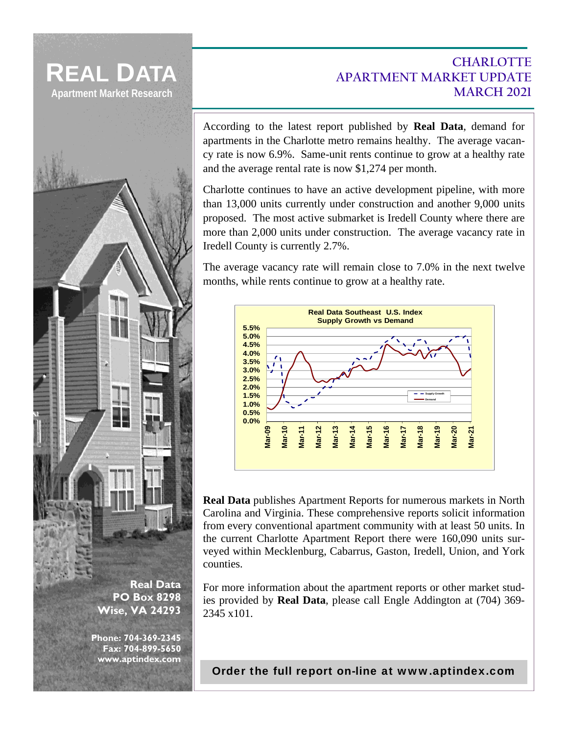



**www.aptindex.com** 

## **CHARLOTTE APARTMENT MARKET UPDATE MARCH 2021**

According to the latest report published by **Real Data**, demand for apartments in the Charlotte metro remains healthy. The average vacancy rate is now 6.9%. Same-unit rents continue to grow at a healthy rate and the average rental rate is now \$1,274 per month.

Charlotte continues to have an active development pipeline, with more than 13,000 units currently under construction and another 9,000 units proposed. The most active submarket is Iredell County where there are more than 2,000 units under construction. The average vacancy rate in Iredell County is currently 2.7%.

The average vacancy rate will remain close to 7.0% in the next twelve months, while rents continue to grow at a healthy rate.



**Real Data** publishes Apartment Reports for numerous markets in North Carolina and Virginia. These comprehensive reports solicit information from every conventional apartment community with at least 50 units. In the current Charlotte Apartment Report there were 160,090 units surveyed within Mecklenburg, Cabarrus, Gaston, Iredell, Union, and York counties.

For more information about the apartment reports or other market studies provided by **Real Data**, please call Engle Addington at (704) 369- 2345 x101.

[Order the full report on-line at www.aptindex.com](http://www.aptindex.com/ServicesOrder.cfm)